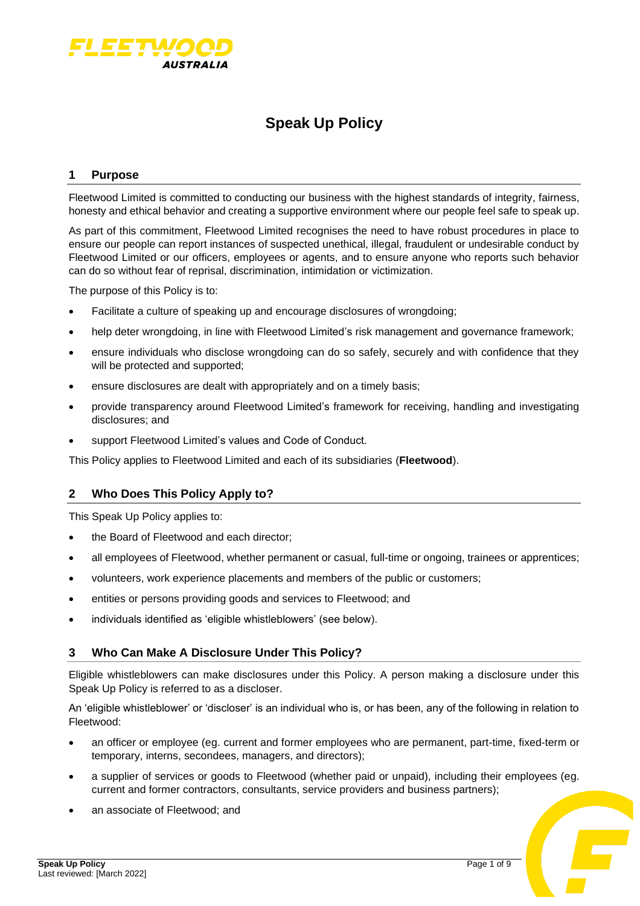

# **Speak Up Policy**

### **1 Purpose**

Fleetwood Limited is committed to conducting our business with the highest standards of integrity, fairness, honesty and ethical behavior and creating a supportive environment where our people feel safe to speak up.

As part of this commitment, Fleetwood Limited recognises the need to have robust procedures in place to ensure our people can report instances of suspected unethical, illegal, fraudulent or undesirable conduct by Fleetwood Limited or our officers, employees or agents, and to ensure anyone who reports such behavior can do so without fear of reprisal, discrimination, intimidation or victimization.

The purpose of this Policy is to:

- Facilitate a culture of speaking up and encourage disclosures of wrongdoing;
- help deter wrongdoing, in line with Fleetwood Limited's risk management and governance framework;
- ensure individuals who disclose wrongdoing can do so safely, securely and with confidence that they will be protected and supported;
- ensure disclosures are dealt with appropriately and on a timely basis;
- provide transparency around Fleetwood Limited's framework for receiving, handling and investigating disclosures; and
- support Fleetwood Limited's values and Code of Conduct.

This Policy applies to Fleetwood Limited and each of its subsidiaries (**Fleetwood**).

# **2 Who Does This Policy Apply to?**

This Speak Up Policy applies to:

- the Board of Fleetwood and each director;
- all employees of Fleetwood, whether permanent or casual, full-time or ongoing, trainees or apprentices;
- volunteers, work experience placements and members of the public or customers;
- entities or persons providing goods and services to Fleetwood; and
- individuals identified as 'eligible whistleblowers' (see below).

# **3 Who Can Make A Disclosure Under This Policy?**

Eligible whistleblowers can make disclosures under this Policy. A person making a disclosure under this Speak Up Policy is referred to as a discloser.

An 'eligible whistleblower' or 'discloser' is an individual who is, or has been, any of the following in relation to Fleetwood:

- an officer or employee (eg. current and former employees who are permanent, part-time, fixed-term or temporary, interns, secondees, managers, and directors);
- a supplier of services or goods to Fleetwood (whether paid or unpaid), including their employees (eg. current and former contractors, consultants, service providers and business partners);
- an associate of Fleetwood; and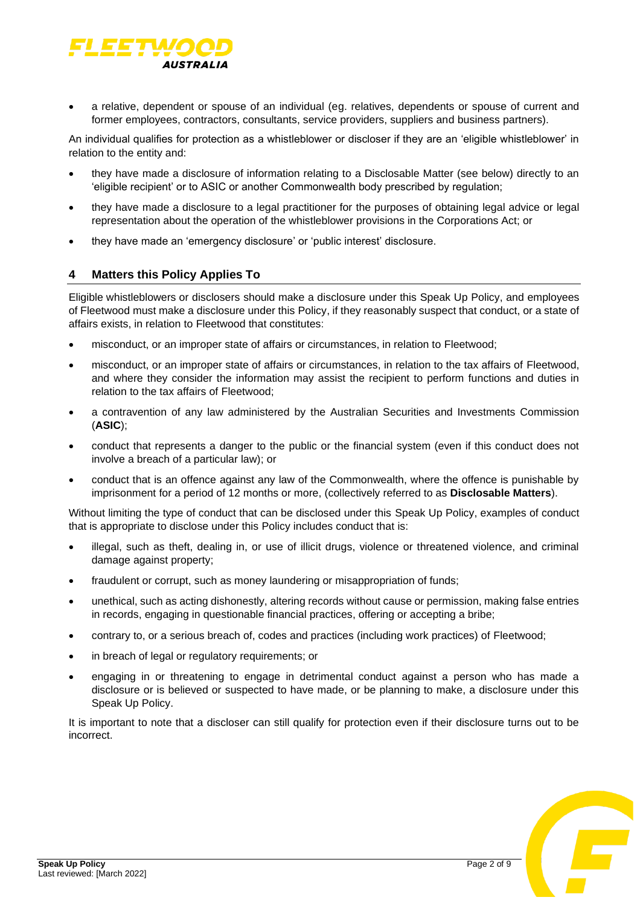

• a relative, dependent or spouse of an individual (eg. relatives, dependents or spouse of current and former employees, contractors, consultants, service providers, suppliers and business partners).

An individual qualifies for protection as a whistleblower or discloser if they are an 'eligible whistleblower' in relation to the entity and:

- they have made a disclosure of information relating to a Disclosable Matter (see below) directly to an 'eligible recipient' or to ASIC or another Commonwealth body prescribed by regulation;
- they have made a disclosure to a legal practitioner for the purposes of obtaining legal advice or legal representation about the operation of the whistleblower provisions in the Corporations Act; or
- they have made an 'emergency disclosure' or 'public interest' disclosure.

# **4 Matters this Policy Applies To**

Eligible whistleblowers or disclosers should make a disclosure under this Speak Up Policy, and employees of Fleetwood must make a disclosure under this Policy, if they reasonably suspect that conduct, or a state of affairs exists, in relation to Fleetwood that constitutes:

- misconduct, or an improper state of affairs or circumstances, in relation to Fleetwood;
- misconduct, or an improper state of affairs or circumstances, in relation to the tax affairs of Fleetwood, and where they consider the information may assist the recipient to perform functions and duties in relation to the tax affairs of Fleetwood;
- a contravention of any law administered by the Australian Securities and Investments Commission (**ASIC**);
- conduct that represents a danger to the public or the financial system (even if this conduct does not involve a breach of a particular law); or
- conduct that is an offence against any law of the Commonwealth, where the offence is punishable by imprisonment for a period of 12 months or more, (collectively referred to as **Disclosable Matters**).

Without limiting the type of conduct that can be disclosed under this Speak Up Policy, examples of conduct that is appropriate to disclose under this Policy includes conduct that is:

- illegal, such as theft, dealing in, or use of illicit drugs, violence or threatened violence, and criminal damage against property;
- fraudulent or corrupt, such as money laundering or misappropriation of funds;
- unethical, such as acting dishonestly, altering records without cause or permission, making false entries in records, engaging in questionable financial practices, offering or accepting a bribe;
- contrary to, or a serious breach of, codes and practices (including work practices) of Fleetwood;
- in breach of legal or regulatory requirements; or
- engaging in or threatening to engage in detrimental conduct against a person who has made a disclosure or is believed or suspected to have made, or be planning to make, a disclosure under this Speak Up Policy.

It is important to note that a discloser can still qualify for protection even if their disclosure turns out to be incorrect.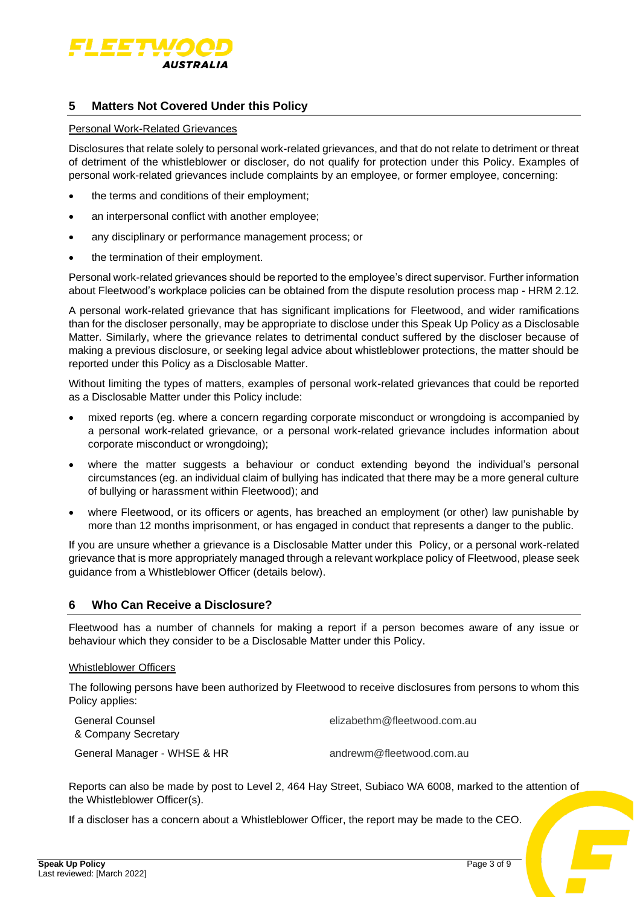

# **5 Matters Not Covered Under this Policy**

#### Personal Work-Related Grievances

Disclosures that relate solely to personal work-related grievances, and that do not relate to detriment or threat of detriment of the whistleblower or discloser, do not qualify for protection under this Policy. Examples of personal work-related grievances include complaints by an employee, or former employee, concerning:

- the terms and conditions of their employment;
- an interpersonal conflict with another employee;
- any disciplinary or performance management process; or
- the termination of their employment.

Personal work-related grievances should be reported to the employee's direct supervisor. Further information about Fleetwood's workplace policies can be obtained from the dispute resolution process map - HRM 2.12*.*

A personal work-related grievance that has significant implications for Fleetwood, and wider ramifications than for the discloser personally, may be appropriate to disclose under this Speak Up Policy as a Disclosable Matter. Similarly, where the grievance relates to detrimental conduct suffered by the discloser because of making a previous disclosure, or seeking legal advice about whistleblower protections, the matter should be reported under this Policy as a Disclosable Matter.

Without limiting the types of matters, examples of personal work-related grievances that could be reported as a Disclosable Matter under this Policy include:

- mixed reports (eg. where a concern regarding corporate misconduct or wrongdoing is accompanied by a personal work-related grievance, or a personal work-related grievance includes information about corporate misconduct or wrongdoing);
- where the matter suggests a behaviour or conduct extending beyond the individual's personal circumstances (eg. an individual claim of bullying has indicated that there may be a more general culture of bullying or harassment within Fleetwood); and
- where Fleetwood, or its officers or agents, has breached an employment (or other) law punishable by more than 12 months imprisonment, or has engaged in conduct that represents a danger to the public.

If you are unsure whether a grievance is a Disclosable Matter under this Policy, or a personal work-related grievance that is more appropriately managed through a relevant workplace policy of Fleetwood, please seek guidance from a Whistleblower Officer (details below).

### **6 Who Can Receive a Disclosure?**

Fleetwood has a number of channels for making a report if a person becomes aware of any issue or behaviour which they consider to be a Disclosable Matter under this Policy.

#### Whistleblower Officers

The following persons have been authorized by Fleetwood to receive disclosures from persons to whom this Policy applies:

| General Counsel             | elizabethm@fleetwood.com.au |
|-----------------------------|-----------------------------|
| & Company Secretary         |                             |
| General Manager - WHSE & HR | andrewm@fleetwood.com.au    |

Reports can also be made by post to Level 2, 464 Hay Street, Subiaco WA 6008, marked to the attention of the Whistleblower Officer(s).

If a discloser has a concern about a Whistleblower Officer, the report may be made to the CEO.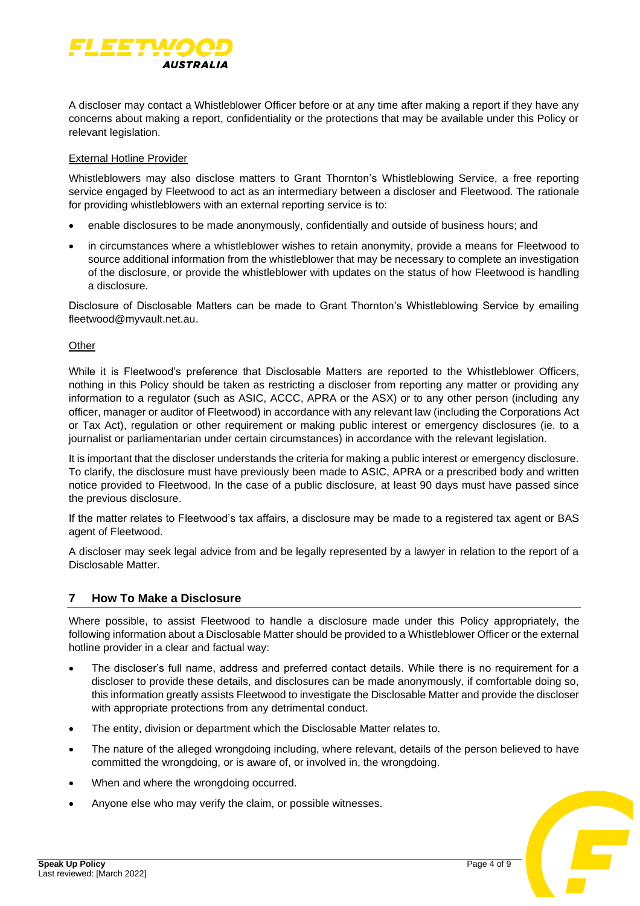

A discloser may contact a Whistleblower Officer before or at any time after making a report if they have any concerns about making a report, confidentiality or the protections that may be available under this Policy or relevant legislation.

### External Hotline Provider

Whistleblowers may also disclose matters to Grant Thornton's Whistleblowing Service, a free reporting service engaged by Fleetwood to act as an intermediary between a discloser and Fleetwood. The rationale for providing whistleblowers with an external reporting service is to:

- enable disclosures to be made anonymously, confidentially and outside of business hours; and
- in circumstances where a whistleblower wishes to retain anonymity, provide a means for Fleetwood to source additional information from the whistleblower that may be necessary to complete an investigation of the disclosure, or provide the whistleblower with updates on the status of how Fleetwood is handling a disclosure.

Disclosure of Disclosable Matters can be made to Grant Thornton's Whistleblowing Service by emailing fleetwood@myvault.net.au.

#### **Other**

While it is Fleetwood's preference that Disclosable Matters are reported to the Whistleblower Officers, nothing in this Policy should be taken as restricting a discloser from reporting any matter or providing any information to a regulator (such as ASIC, ACCC, APRA or the ASX) or to any other person (including any officer, manager or auditor of Fleetwood) in accordance with any relevant law (including the Corporations Act or Tax Act), regulation or other requirement or making public interest or emergency disclosures (ie. to a journalist or parliamentarian under certain circumstances) in accordance with the relevant legislation.

It is important that the discloser understands the criteria for making a public interest or emergency disclosure. To clarify, the disclosure must have previously been made to ASIC, APRA or a prescribed body and written notice provided to Fleetwood. In the case of a public disclosure, at least 90 days must have passed since the previous disclosure.

If the matter relates to Fleetwood's tax affairs, a disclosure may be made to a registered tax agent or BAS agent of Fleetwood.

A discloser may seek legal advice from and be legally represented by a lawyer in relation to the report of a Disclosable Matter.

# **7 How To Make a Disclosure**

Where possible, to assist Fleetwood to handle a disclosure made under this Policy appropriately, the following information about a Disclosable Matter should be provided to a Whistleblower Officer or the external hotline provider in a clear and factual way:

- The discloser's full name, address and preferred contact details. While there is no requirement for a discloser to provide these details, and disclosures can be made anonymously, if comfortable doing so, this information greatly assists Fleetwood to investigate the Disclosable Matter and provide the discloser with appropriate protections from any detrimental conduct.
- The entity, division or department which the Disclosable Matter relates to.
- The nature of the alleged wrongdoing including, where relevant, details of the person believed to have committed the wrongdoing, or is aware of, or involved in, the wrongdoing.
- When and where the wrongdoing occurred.
- Anyone else who may verify the claim, or possible witnesses.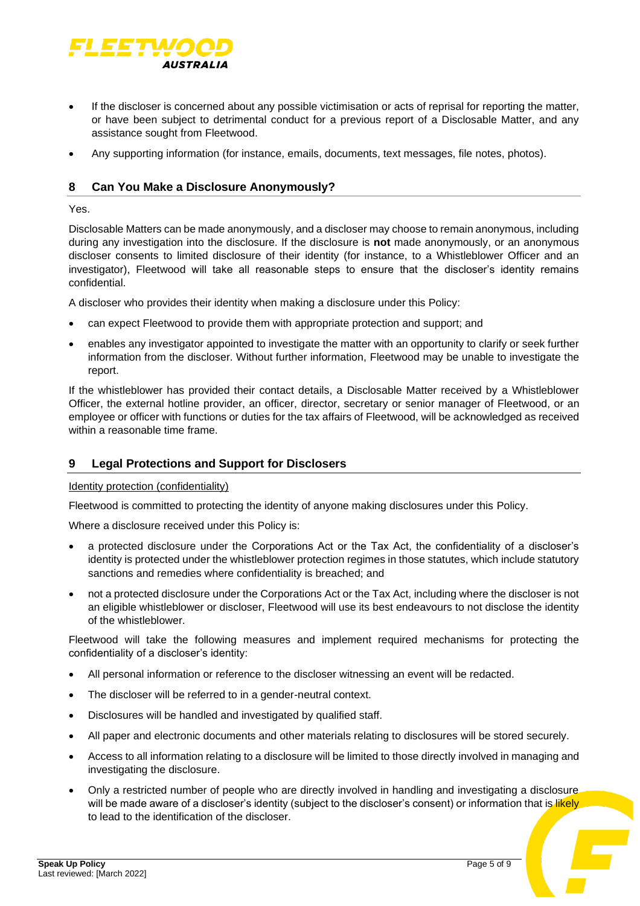

- If the discloser is concerned about any possible victimisation or acts of reprisal for reporting the matter, or have been subject to detrimental conduct for a previous report of a Disclosable Matter, and any assistance sought from Fleetwood.
- Any supporting information (for instance, emails, documents, text messages, file notes, photos).

### **8 Can You Make a Disclosure Anonymously?**

Yes.

Disclosable Matters can be made anonymously, and a discloser may choose to remain anonymous, including during any investigation into the disclosure. If the disclosure is **not** made anonymously, or an anonymous discloser consents to limited disclosure of their identity (for instance, to a Whistleblower Officer and an investigator), Fleetwood will take all reasonable steps to ensure that the discloser's identity remains confidential.

A discloser who provides their identity when making a disclosure under this Policy:

- can expect Fleetwood to provide them with appropriate protection and support; and
- enables any investigator appointed to investigate the matter with an opportunity to clarify or seek further information from the discloser. Without further information, Fleetwood may be unable to investigate the report.

If the whistleblower has provided their contact details, a Disclosable Matter received by a Whistleblower Officer, the external hotline provider, an officer, director, secretary or senior manager of Fleetwood, or an employee or officer with functions or duties for the tax affairs of Fleetwood, will be acknowledged as received within a reasonable time frame.

# **9 Legal Protections and Support for Disclosers**

#### Identity protection (confidentiality)

Fleetwood is committed to protecting the identity of anyone making disclosures under this Policy.

Where a disclosure received under this Policy is:

- a protected disclosure under the Corporations Act or the Tax Act, the confidentiality of a discloser's identity is protected under the whistleblower protection regimes in those statutes, which include statutory sanctions and remedies where confidentiality is breached; and
- not a protected disclosure under the Corporations Act or the Tax Act, including where the discloser is not an eligible whistleblower or discloser, Fleetwood will use its best endeavours to not disclose the identity of the whistleblower.

Fleetwood will take the following measures and implement required mechanisms for protecting the confidentiality of a discloser's identity:

- All personal information or reference to the discloser witnessing an event will be redacted.
- The discloser will be referred to in a gender-neutral context.
- Disclosures will be handled and investigated by qualified staff.
- All paper and electronic documents and other materials relating to disclosures will be stored securely.
- Access to all information relating to a disclosure will be limited to those directly involved in managing and investigating the disclosure.
- Only a restricted number of people who are directly involved in handling and investigating a disclosure will be made aware of a discloser's identity (subject to the discloser's consent) or information that is likely to lead to the identification of the discloser.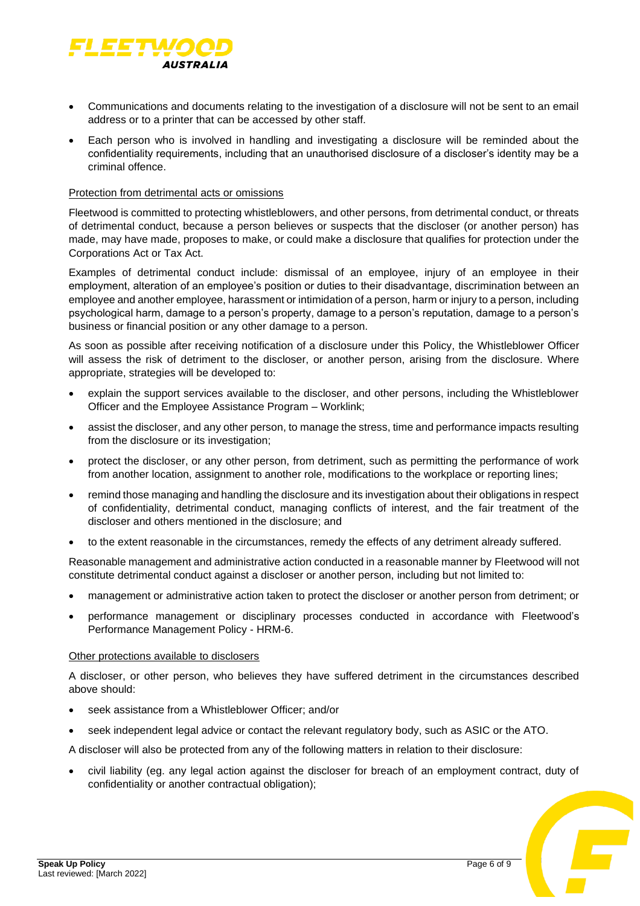

- Communications and documents relating to the investigation of a disclosure will not be sent to an email address or to a printer that can be accessed by other staff.
- Each person who is involved in handling and investigating a disclosure will be reminded about the confidentiality requirements, including that an unauthorised disclosure of a discloser's identity may be a criminal offence.

#### Protection from detrimental acts or omissions

Fleetwood is committed to protecting whistleblowers, and other persons, from detrimental conduct, or threats of detrimental conduct, because a person believes or suspects that the discloser (or another person) has made, may have made, proposes to make, or could make a disclosure that qualifies for protection under the Corporations Act or Tax Act.

Examples of detrimental conduct include: dismissal of an employee, injury of an employee in their employment, alteration of an employee's position or duties to their disadvantage, discrimination between an employee and another employee, harassment or intimidation of a person, harm or injury to a person, including psychological harm, damage to a person's property, damage to a person's reputation, damage to a person's business or financial position or any other damage to a person.

As soon as possible after receiving notification of a disclosure under this Policy, the Whistleblower Officer will assess the risk of detriment to the discloser, or another person, arising from the disclosure. Where appropriate, strategies will be developed to:

- explain the support services available to the discloser, and other persons, including the Whistleblower Officer and the Employee Assistance Program – Worklink;
- assist the discloser, and any other person, to manage the stress, time and performance impacts resulting from the disclosure or its investigation;
- protect the discloser, or any other person, from detriment, such as permitting the performance of work from another location, assignment to another role, modifications to the workplace or reporting lines;
- remind those managing and handling the disclosure and its investigation about their obligations in respect of confidentiality, detrimental conduct, managing conflicts of interest, and the fair treatment of the discloser and others mentioned in the disclosure; and
- to the extent reasonable in the circumstances, remedy the effects of any detriment already suffered.

Reasonable management and administrative action conducted in a reasonable manner by Fleetwood will not constitute detrimental conduct against a discloser or another person, including but not limited to:

- management or administrative action taken to protect the discloser or another person from detriment; or
- performance management or disciplinary processes conducted in accordance with Fleetwood's Performance Management Policy - HRM-6.

#### Other protections available to disclosers

A discloser, or other person, who believes they have suffered detriment in the circumstances described above should:

- seek assistance from a Whistleblower Officer; and/or
- seek independent legal advice or contact the relevant regulatory body, such as ASIC or the ATO.

A discloser will also be protected from any of the following matters in relation to their disclosure:

• civil liability (eg. any legal action against the discloser for breach of an employment contract, duty of confidentiality or another contractual obligation);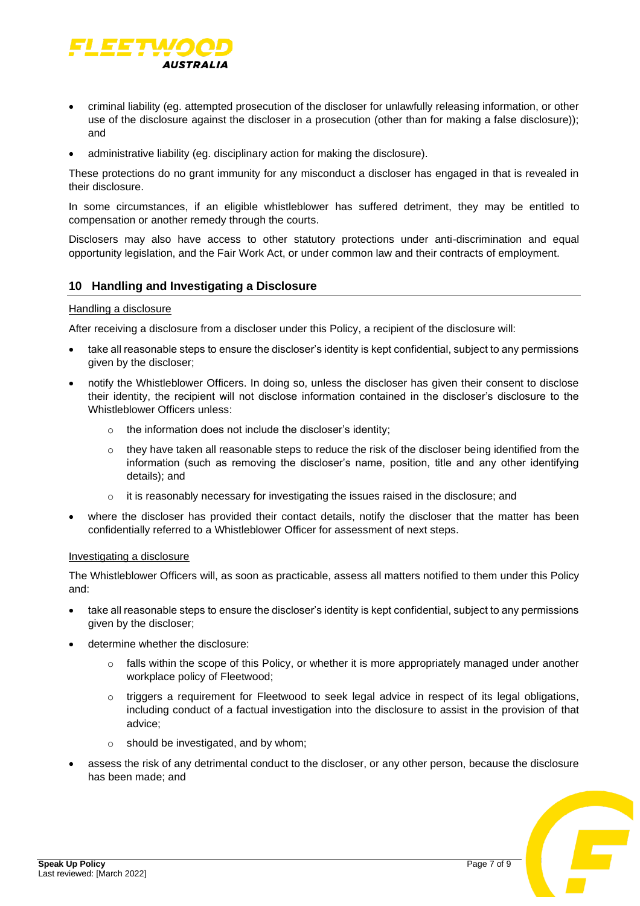

- criminal liability (eg. attempted prosecution of the discloser for unlawfully releasing information, or other use of the disclosure against the discloser in a prosecution (other than for making a false disclosure)); and
- administrative liability (eg. disciplinary action for making the disclosure).

These protections do no grant immunity for any misconduct a discloser has engaged in that is revealed in their disclosure.

In some circumstances, if an eligible whistleblower has suffered detriment, they may be entitled to compensation or another remedy through the courts.

Disclosers may also have access to other statutory protections under anti-discrimination and equal opportunity legislation, and the Fair Work Act, or under common law and their contracts of employment.

### **10 Handling and Investigating a Disclosure**

#### Handling a disclosure

After receiving a disclosure from a discloser under this Policy, a recipient of the disclosure will:

- take all reasonable steps to ensure the discloser's identity is kept confidential, subject to any permissions given by the discloser;
- notify the Whistleblower Officers. In doing so, unless the discloser has given their consent to disclose their identity, the recipient will not disclose information contained in the discloser's disclosure to the Whistleblower Officers unless:
	- $\circ$  the information does not include the discloser's identity;
	- $\circ$  they have taken all reasonable steps to reduce the risk of the discloser being identified from the information (such as removing the discloser's name, position, title and any other identifying details); and
	- o it is reasonably necessary for investigating the issues raised in the disclosure; and
- where the discloser has provided their contact details, notify the discloser that the matter has been confidentially referred to a Whistleblower Officer for assessment of next steps.

#### Investigating a disclosure

The Whistleblower Officers will, as soon as practicable, assess all matters notified to them under this Policy and:

- take all reasonable steps to ensure the discloser's identity is kept confidential, subject to any permissions given by the discloser;
- determine whether the disclosure:
	- falls within the scope of this Policy, or whether it is more appropriately managed under another workplace policy of Fleetwood;
	- $\circ$  triggers a requirement for Fleetwood to seek legal advice in respect of its legal obligations, including conduct of a factual investigation into the disclosure to assist in the provision of that advice;
	- o should be investigated, and by whom;
- assess the risk of any detrimental conduct to the discloser, or any other person, because the disclosure has been made; and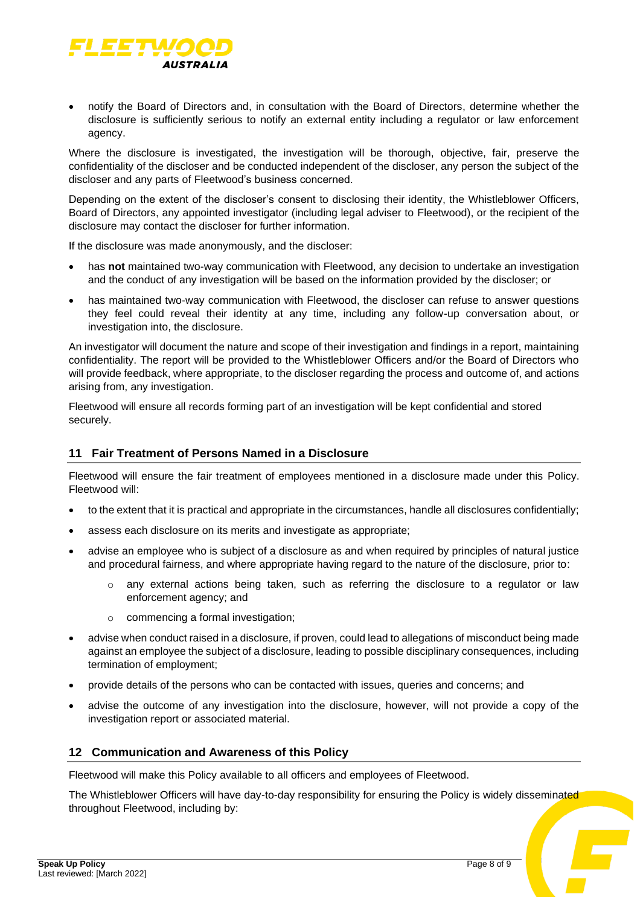

• notify the Board of Directors and, in consultation with the Board of Directors, determine whether the disclosure is sufficiently serious to notify an external entity including a regulator or law enforcement agency.

Where the disclosure is investigated, the investigation will be thorough, objective, fair, preserve the confidentiality of the discloser and be conducted independent of the discloser, any person the subject of the discloser and any parts of Fleetwood's business concerned.

Depending on the extent of the discloser's consent to disclosing their identity, the Whistleblower Officers, Board of Directors, any appointed investigator (including legal adviser to Fleetwood), or the recipient of the disclosure may contact the discloser for further information.

If the disclosure was made anonymously, and the discloser:

- has **not** maintained two-way communication with Fleetwood, any decision to undertake an investigation and the conduct of any investigation will be based on the information provided by the discloser; or
- has maintained two-way communication with Fleetwood, the discloser can refuse to answer questions they feel could reveal their identity at any time, including any follow-up conversation about, or investigation into, the disclosure.

An investigator will document the nature and scope of their investigation and findings in a report, maintaining confidentiality. The report will be provided to the Whistleblower Officers and/or the Board of Directors who will provide feedback, where appropriate, to the discloser regarding the process and outcome of, and actions arising from, any investigation.

Fleetwood will ensure all records forming part of an investigation will be kept confidential and stored securely.

# **11 Fair Treatment of Persons Named in a Disclosure**

Fleetwood will ensure the fair treatment of employees mentioned in a disclosure made under this Policy. Fleetwood will:

- to the extent that it is practical and appropriate in the circumstances, handle all disclosures confidentially;
- assess each disclosure on its merits and investigate as appropriate;
- advise an employee who is subject of a disclosure as and when required by principles of natural justice and procedural fairness, and where appropriate having regard to the nature of the disclosure, prior to:
	- $\circ$  any external actions being taken, such as referring the disclosure to a regulator or law enforcement agency; and
	- o commencing a formal investigation;
- advise when conduct raised in a disclosure, if proven, could lead to allegations of misconduct being made against an employee the subject of a disclosure, leading to possible disciplinary consequences, including termination of employment;
- provide details of the persons who can be contacted with issues, queries and concerns; and
- advise the outcome of any investigation into the disclosure, however, will not provide a copy of the investigation report or associated material.

# **12 Communication and Awareness of this Policy**

Fleetwood will make this Policy available to all officers and employees of Fleetwood.

The Whistleblower Officers will have day-to-day responsibility for ensuring the Policy is widely disseminated throughout Fleetwood, including by: